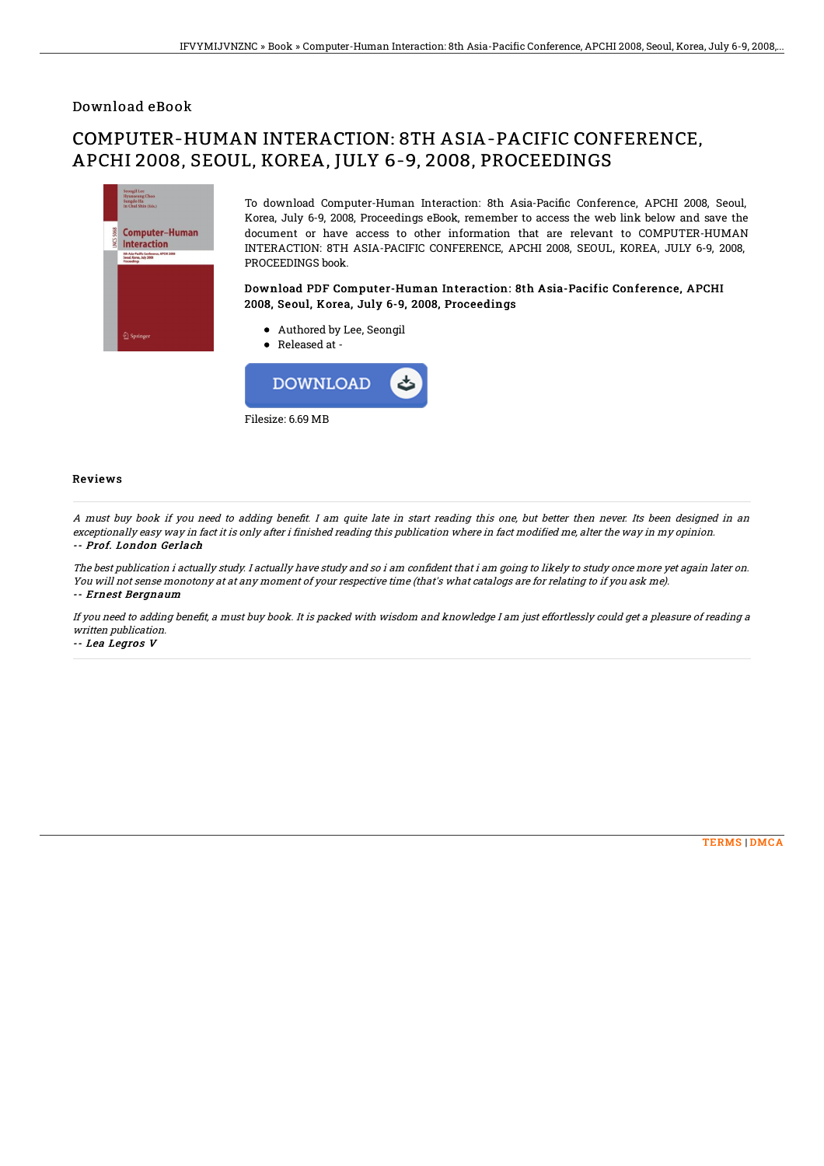### Download eBook

# COMPUTER-HUMAN INTERACTION: 8TH ASIA-PACIFIC CONFERENCE, APCHI 2008, SEOUL, KOREA, JULY 6-9, 2008, PROCEEDINGS



To download Computer-Human Interaction: 8th Asia-Pacific Conference, APCHI 2008, Seoul, Korea, July 6-9, 2008, Proceedings eBook, remember to access the web link below and save the document or have access to other information that are relevant to COMPUTER-HUMAN INTERACTION: 8TH ASIA-PACIFIC CONFERENCE, APCHI 2008, SEOUL, KOREA, JULY 6-9, 2008, PROCEEDINGS book.

#### Download PDF Computer-Human Interaction: 8th Asia-Pacific Conference, APCHI 2008, Seoul, Korea, July 6-9, 2008, Proceedings

- Authored by Lee, Seongil
- Released at -



#### Reviews

A must buy book if you need to adding benefit. I am quite late in start reading this one, but better then never. Its been designed in an exceptionally easy way in fact it is only after i finished reading this publication where in fact modified me, alter the way in my opinion. -- Prof. London Gerlach

The best publication i actually study. I actually have study and so i am confident that i am going to likely to study once more yet again later on. You will not sense monotony at at any moment of your respective time (that's what catalogs are for relating to if you ask me). -- Ernest Bergnaum

If you need to adding benefit, a must buy book. It is packed with wisdom and knowledge I am just effortlessly could get a pleasure of reading a written publication.

-- Lea Legros V